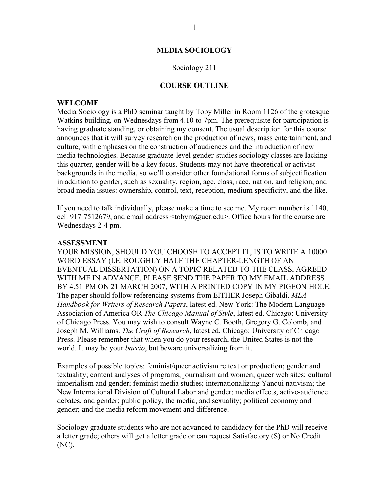### **MEDIA SOCIOLOGY**

### Sociology 211

# **COURSE OUTLINE**

### **WELCOME**

Media Sociology is a PhD seminar taught by Toby Miller in Room 1126 of the grotesque Watkins building, on Wednesdays from 4.10 to 7pm. The prerequisite for participation is having graduate standing, or obtaining my consent. The usual description for this course announces that it will survey research on the production of news, mass entertainment, and culture, with emphases on the construction of audiences and the introduction of new media technologies. Because graduate-level gender-studies sociology classes are lacking this quarter, gender will be a key focus. Students may not have theoretical or activist backgrounds in the media, so we'll consider other foundational forms of subjectification in addition to gender, such as sexuality, region, age, class, race, nation, and religion, and broad media issues: ownership, control, text, reception, medium specificity, and the like.

If you need to talk individually, please make a time to see me. My room number is 1140, cell 917 7512679, and email address <tobym@ucr.edu>. Office hours for the course are Wednesdays 2-4 pm.

#### **ASSESSMENT**

YOUR MISSION, SHOULD YOU CHOOSE TO ACCEPT IT, IS TO WRITE A 10000 WORD ESSAY (I.E. ROUGHLY HALF THE CHAPTER-LENGTH OF AN EVENTUAL DISSERTATION) ON A TOPIC RELATED TO THE CLASS, AGREED WITH ME IN ADVANCE. PLEASE SEND THE PAPER TO MY EMAIL ADDRESS BY 4.51 PM ON 21 MARCH 2007, WITH A PRINTED COPY IN MY PIGEON HOLE. The paper should follow referencing systems from EITHER Joseph Gibaldi. *MLA Handbook for Writers of Research Papers*, latest ed. New York: The Modern Language Association of America OR *The Chicago Manual of Style*, latest ed. Chicago: University of Chicago Press. You may wish to consult Wayne C. Booth, Gregory G. Colomb, and Joseph M. Williams. *The Craft of Research*, latest ed. Chicago: University of Chicago Press. Please remember that when you do your research, the United States is not the world. It may be your *barrio*, but beware universalizing from it.

Examples of possible topics: feminist/queer activism re text or production; gender and textuality; content analyses of programs; journalism and women; queer web sites; cultural imperialism and gender; feminist media studies; internationalizing Yanqui nativism; the New International Division of Cultural Labor and gender; media effects, active-audience debates, and gender; public policy, the media, and sexuality; political economy and gender; and the media reform movement and difference.

Sociology graduate students who are not advanced to candidacy for the PhD will receive a letter grade; others will get a letter grade or can request Satisfactory (S) or No Credit (NC).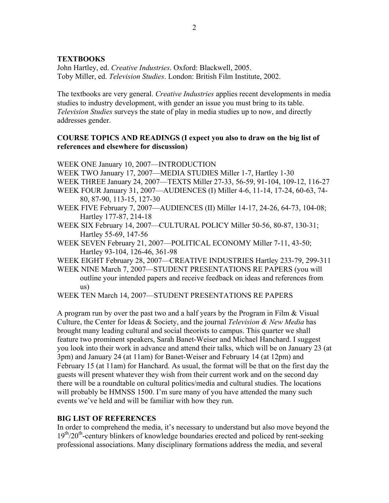# **TEXTBOOKS**

John Hartley, ed. *Creative Industries*. Oxford: Blackwell, 2005. Toby Miller, ed. *Television Studies*. London: British Film Institute, 2002.

The textbooks are very general. *Creative Industries* applies recent developments in media studies to industry development, with gender an issue you must bring to its table. *Television Studies* surveys the state of play in media studies up to now, and directly addresses gender.

# **COURSE TOPICS AND READINGS (I expect you also to draw on the big list of references and elsewhere for discussion)**

WEEK ONE January 10, 2007—INTRODUCTION

- WEEK TWO January 17, 2007—MEDIA STUDIES Miller 1-7, Hartley 1-30
- WEEK THREE January 24, 2007—TEXTS Miller 27-33, 56-59, 91-104, 109-12, 116-27
- WEEK FOUR January 31, 2007—AUDIENCES (I) Miller 4-6, 11-14, 17-24, 60-63, 74- 80, 87-90, 113-15, 127-30
- WEEK FIVE February 7, 2007—AUDIENCES (II) Miller 14-17, 24-26, 64-73, 104-08; Hartley 177-87, 214-18
- WEEK SIX February 14, 2007—CULTURAL POLICY Miller 50-56, 80-87, 130-31; Hartley 55-69, 147-56
- WEEK SEVEN February 21, 2007—POLITICAL ECONOMY Miller 7-11, 43-50; Hartley 93-104, 126-46, 361-98
- WEEK EIGHT February 28, 2007—CREATIVE INDUSTRIES Hartley 233-79, 299-311
- WEEK NINE March 7, 2007—STUDENT PRESENTATIONS RE PAPERS (you will outline your intended papers and receive feedback on ideas and references from us)

WEEK TEN March 14, 2007—STUDENT PRESENTATIONS RE PAPERS

A program run by over the past two and a half years by the Program in Film  $\&$  Visual Culture, the Center for Ideas & Society, and the journal *Television & New Media* has brought many leading cultural and social theorists to campus. This quarter we shall feature two prominent speakers, Sarah Banet-Weiser and Michael Hanchard. I suggest you look into their work in advance and attend their talks, which will be on January 23 (at 3pm) and January 24 (at 11am) for Banet-Weiser and February 14 (at 12pm) and February 15 (at 11am) for Hanchard. As usual, the format will be that on the first day the guests will present whatever they wish from their current work and on the second day there will be a roundtable on cultural politics/media and cultural studies. The locations will probably be HMNSS 1500. I'm sure many of you have attended the many such events we've held and will be familiar with how they run.

# **BIG LIST OF REFERENCES**

In order to comprehend the media, it's necessary to understand but also move beyond the  $19<sup>th</sup>/20<sup>th</sup>$ -century blinkers of knowledge boundaries erected and policed by rent-seeking professional associations. Many disciplinary formations address the media, and several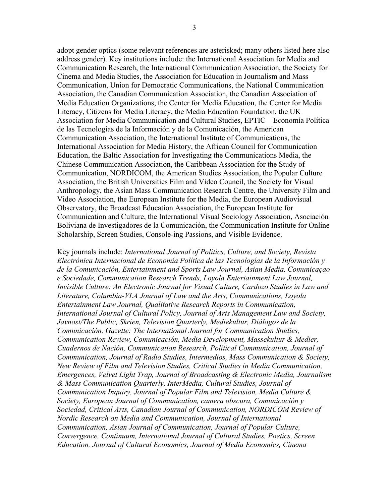adopt gender optics (some relevant references are asterisked; many others listed here also address gender). Key institutions include: the International Association for Media and Communication Research, the International Communication Association, the Society for Cinema and Media Studies, the Association for Education in Journalism and Mass Communication, Union for Democratic Communications, the National Communication Association, the Canadian Communication Association, the Canadian Association of Media Education Organizations, the Center for Media Education, the Center for Media Literacy, Citizens for Media Literacy, the Media Education Foundation, the UK Association for Media Communication and Cultural Studies, EPTIC—Economía Política de las Tecnologías de la Información y de la Comunicación, the American Communication Association, the International Institute of Communications, the International Association for Media History, the African Council for Communication Education, the Baltic Association for Investigating the Communications Media, the Chinese Communication Association, the Caribbean Association for the Study of Communication, NORDICOM, the American Studies Association, the Popular Culture Association, the British Universities Film and Video Council, the Society for Visual Anthropology, the Asian Mass Communication Research Centre, the University Film and Video Association, the European Institute for the Media, the European Audiovisual Observatory, the Broadcast Education Association, the European Institute for Communication and Culture, the International Visual Sociology Association, Asociación Boliviana de Investigadores de la Comunicación, the Communication Institute for Online Scholarship, Screen Studies, Console-ing Passions, and Visible Evidence.

Key journals include: *International Journal of Politics, Culture, and Society, Revista Electrónica Internacional de Economía Política de las Tecnologías de la Información y de la Comunicación, Entertainment and Sports Law Journal, Asian Media, Comunicaçao e Sociedade, Communication Research Trends, Loyola Entertainment Law Journal, Invisible Culture: An Electronic Journal for Visual Culture, Cardozo Studies in Law and Literature, Columbia-VLA Journal of Law and the Arts, Communications, Loyola Entertainment Law Journal, Qualitative Research Reports in Communication, International Journal of Cultural Policy, Journal of Arts Management Law and Society, Javnost/The Public, Skrien, Television Quarterly, Mediekultur, Diálogos de la Comunicación, Gazette: The International Journal for Communication Studies, Communication Review, Comunicación, Media Development, Massekultur & Medier, Cuadernos de Nación, Communication Research, Political Communication, Journal of Communication, Journal of Radio Studies, Intermedios, Mass Communication & Society, New Review of Film and Television Studies, Critical Studies in Media Communication, Emergences, Velvet Light Trap, Journal of Broadcasting & Electronic Media, Journalism & Mass Communication Quarterly, InterMedia, Cultural Studies, Journal of Communication Inquiry, Journal of Popular Film and Television, Media Culture & Society, European Journal of Communication, camera obscura, Comunicación y Sociedad, Critical Arts, Canadian Journal of Communication, NORDICOM Review of Nordic Research on Media and Communication, Journal of International Communication, Asian Journal of Communication, Journal of Popular Culture, Convergence, Continuum, International Journal of Cultural Studies, Poetics, Screen Education, Journal of Cultural Economics, Journal of Media Economics, Cinema*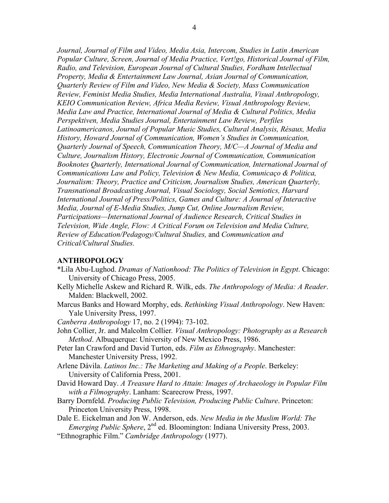*Journal, Journal of Film and Video, Media Asia, Intercom, Studies in Latin American Popular Culture, Screen, Journal of Media Practice, Vert!go, Historical Journal of Film, Radio, and Television, European Journal of Cultural Studies, Fordham Intellectual Property, Media & Entertainment Law Journal, Asian Journal of Communication, Quarterly Review of Film and Video, New Media & Society, Mass Communication Review, Feminist Media Studies, Media International Australia, Visual Anthropology, KEIO Communication Review, Africa Media Review, Visual Anthropology Review, Media Law and Practice, International Journal of Media & Cultural Politics, Media Perspektiven, Media Studies Journal, Entertainment Law Review, Perfiles Latinoamericanos, Journal of Popular Music Studies, Cultural Analysis, Résaux, Media History, Howard Journal of Communication, Women's Studies in Communication, Quarterly Journal of Speech, Communication Theory, M/C—A Journal of Media and Culture, Journalism History, Electronic Journal of Communication, Communication Booknotes Quarterly, International Journal of Communication, International Journal of Communications Law and Policy, Television & New Media, Comunicaço & Politica, Journalism: Theory, Practice and Criticism, Journalism Studies, American Quarterly, Transnational Broadcasting Journal, Visual Sociology, Social Semiotics, Harvard International Journal of Press/Politics, Games and Culture: A Journal of Interactive Media, Journal of E-Media Studies, Jump Cut, Online Journalism Review, Participations—International Journal of Audience Research, Critical Studies in Television, Wide Angle, Flow: A Critical Forum on Television and Media Culture, Review of Education/Pedagogy/Cultural Studies,* and *Communication and Critical/Cultural Studies.* 

### **ANTHROPOLOGY**

- \*Lila Abu-Lughod. *Dramas of Nationhood: The Politics of Television in Egypt*. Chicago: University of Chicago Press, 2005.
- Kelly Michelle Askew and Richard R. Wilk, eds. *The Anthropology of Media: A Reader*. Malden: Blackwell, 2002.
- Marcus Banks and Howard Morphy, eds. *Rethinking Visual Anthropology*. New Haven: Yale University Press, 1997.

*Canberra Anthropology* 17, no. 2 (1994): 73-102.

- John Collier, Jr. and Malcolm Collier*. Visual Anthropology: Photography as a Research Method*. Albuquerque: University of New Mexico Press, 1986.
- Peter Ian Crawford and David Turton, eds. *Film as Ethnography*. Manchester: Manchester University Press, 1992.
- Arlene Dávila. *Latinos Inc.: The Marketing and Making of a People*. Berkeley: University of California Press, 2001.
- David Howard Day. *A Treasure Hard to Attain: Images of Archaeology in Popular Film with a Filmography*. Lanham: Scarecrow Press, 1997.
- Barry Dornfeld. *Producing Public Television, Producing Public Culture*. Princeton: Princeton University Press, 1998.
- Dale E. Eickelman and Jon W. Anderson, eds. *New Media in the Muslim World: The Emerging Public Sphere*, 2<sup>nd</sup> ed. Bloomington: Indiana University Press, 2003.
- "Ethnographic Film." *Cambridge Anthropology* (1977).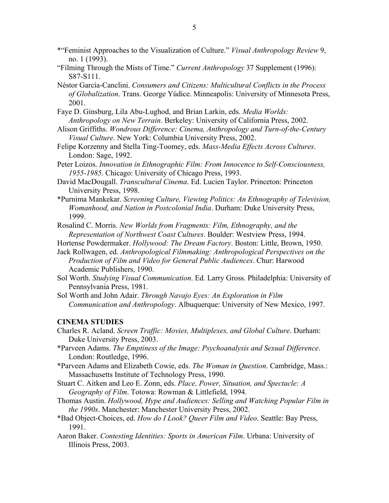- \*"Feminist Approaches to the Visualization of Culture." *Visual Anthropology Review* 9, no. 1 (1993).
- "Filming Through the Mists of Time." *Current Anthropology* 37 Supplement (1996): S87-S111.
- Néstor García-Canclini. *Consumers and Citizens: Multicultural Conflicts in the Process of Globalization*. Trans. George Yúdice. Minneapolis: University of Minnesota Press, 2001.
- Faye D. Ginsburg, Lila Abu-Lughod, and Brian Larkin, eds. *Media Worlds: Anthropology on New Terrain*. Berkeley: University of California Press, 2002.
- Alison Griffiths. *Wondrous Difference: Cinema, Anthropology and Turn-of-the-Century Visual Culture*. New York: Columbia University Press, 2002.
- Felipe Korzenny and Stella Ting-Toomey, eds. *Mass-Media Effects Across Cultures*. London: Sage, 1992.
- Peter Loizos. *Innovation in Ethnographic Film: From Innocence to Self-Consciousness, 1955-1985*. Chicago: University of Chicago Press, 1993.
- David MacDougall. *Transcultural Cinema*. Ed. Lucien Taylor. Princeton: Princeton University Press, 1998.
- \*Purnima Mankekar. *Screening Culture, Viewing Politics: An Ethnography of Television, Womanhood, and Nation in Postcolonial India*. Durham: Duke University Press, 1999.
- Rosalind C. Morris. *New Worlds from Fragments: Film, Ethnography, and the Representation of Northwest Coast Cultures*. Boulder: Westview Press, 1994.
- Hortense Powdermaker. *Hollywood: The Dream Factory*. Boston: Little, Brown, 1950.
- Jack Rollwagen, ed. *Anthropological Filmmaking: Anthropological Perspectives on the Production of Film and Video for General Public Audiences*. Chur: Harwood Academic Publishers, 1990.
- Sol Worth. *Studying Visual Communication*. Ed. Larry Gross. Philadelphia: University of Pennsylvania Press, 1981.
- Sol Worth and John Adair. *Through Navajo Eyes: An Exploration in Film Communication and Anthropology*. Albuquerque: University of New Mexico, 1997.

## **CINEMA STUDIES**

- Charles R. Acland. *Screen Traffic: Movies, Multiplexes, and Global Culture*. Durham: Duke University Press, 2003.
- \*Parveen Adams. *The Emptiness of the Image: Psychoanalysis and Sexual Difference*. London: Routledge, 1996.
- \*Parveen Adams and Elizabeth Cowie, eds. *The Woman in Question*. Cambridge, Mass.: Massachusetts Institute of Technology Press, 1990.
- Stuart C. Aitken and Leo E. Zonn, eds. *Place, Power, Situation, and Spectacle: A Geography of Film*. Totowa: Rowman & Littlefield, 1994.
- Thomas Austin. *Hollywood, Hype and Audiences: Selling and Watching Popular Film in the 1990s*. Manchester: Manchester University Press, 2002.
- \*Bad Object-Choices, ed. *How do I Look? Queer Film and Video*. Seattle: Bay Press, 1991.
- Aaron Baker. *Contesting Identities: Sports in American Film*. Urbana: University of Illinois Press, 2003.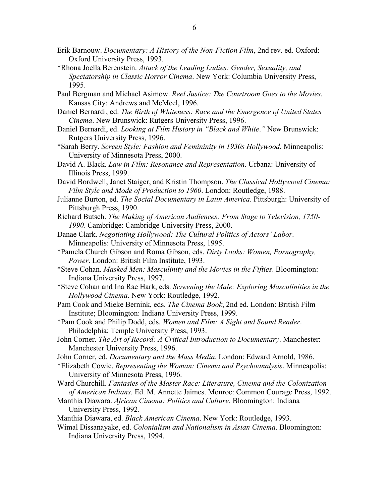- Erik Barnouw. *Documentary: A History of the Non-Fiction Film*, 2nd rev. ed. Oxford: Oxford University Press, 1993.
- \*Rhona Joella Berenstein. *Attack of the Leading Ladies: Gender, Sexuality, and Spectatorship in Classic Horror Cinema*. New York: Columbia University Press, 1995.
- Paul Bergman and Michael Asimow. *Reel Justice: The Courtroom Goes to the Movies*. Kansas City: Andrews and McMeel, 1996.
- Daniel Bernardi, ed. *The Birth of Whiteness: Race and the Emergence of United States Cinema*. New Brunswick: Rutgers University Press, 1996.
- Daniel Bernardi, ed. *Looking at Film History in "Black and White*.*"* New Brunswick: Rutgers University Press, 1996.
- \*Sarah Berry. *Screen Style: Fashion and Femininity in 1930s Hollywood*. Minneapolis: University of Minnesota Press, 2000.
- David A. Black. *Law in Film: Resonance and Representation*. Urbana: University of Illinois Press, 1999.
- David Bordwell, Janet Staiger, and Kristin Thompson. *The Classical Hollywood Cinema: Film Style and Mode of Production to 1960*. London: Routledge, 1988.
- Julianne Burton, ed. *The Social Documentary in Latin America*. Pittsburgh: University of Pittsburgh Press, 1990.
- Richard Butsch. *The Making of American Audiences: From Stage to Television, 1750- 1990*. Cambridge: Cambridge University Press, 2000.
- Danae Clark. *Negotiating Hollywood: The Cultural Politics of Actors' Labor*. Minneapolis: University of Minnesota Press, 1995.
- \*Pamela Church Gibson and Roma Gibson, eds. *Dirty Looks: Women, Pornography, Power*. London: British Film Institute, 1993.
- \*Steve Cohan. *Masked Men: Masculinity and the Movies in the Fifties*. Bloomington: Indiana University Press, 1997.
- \*Steve Cohan and Ina Rae Hark, eds. *Screening the Male: Exploring Masculinities in the Hollywood Cinema*. New York: Routledge, 1992.
- Pam Cook and Mieke Bernink, eds. *The Cinema Book*, 2nd ed. London: British Film Institute; Bloomington: Indiana University Press, 1999.
- \*Pam Cook and Philip Dodd, eds. *Women and Film: A Sight and Sound Reader*. Philadelphia: Temple University Press, 1993.
- John Corner. *The Art of Record: A Critical Introduction to Documentary*. Manchester: Manchester University Press, 1996.
- John Corner, ed. *Documentary and the Mass Media*. London: Edward Arnold, 1986.
- \*Elizabeth Cowie. *Representing the Woman: Cinema and Psychoanalysis*. Minneapolis: University of Minnesota Press, 1996.
- Ward Churchill. *Fantasies of the Master Race: Literature, Cinema and the Colonization of American Indians*. Ed. M. Annette Jaimes. Monroe: Common Courage Press, 1992.
- Manthia Diawara. *African Cinema: Politics and Culture*. Bloomington: Indiana University Press, 1992.
- Manthia Diawara, ed. *Black American Cinema*. New York: Routledge, 1993.
- Wimal Dissanayake, ed. *Colonialism and Nationalism in Asian Cinema*. Bloomington: Indiana University Press, 1994.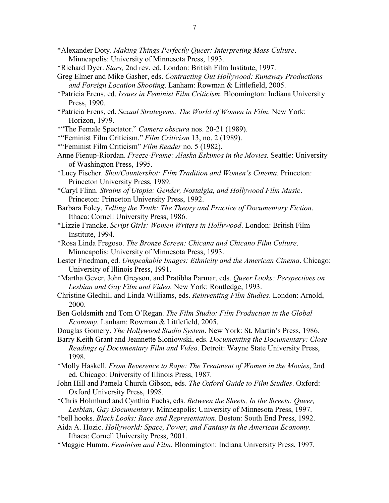- \*Alexander Doty. *Making Things Perfectly Queer: Interpreting Mass Culture*. Minneapolis: University of Minnesota Press, 1993.
- \*Richard Dyer. *Stars,* 2nd rev. ed. London: British Film Institute, 1997.
- Greg Elmer and Mike Gasher, eds. *Contracting Out Hollywood: Runaway Productions and Foreign Location Shooting*. Lanham: Rowman & Littlefield, 2005.
- \*Patricia Erens, ed. *Issues in Feminist Film Criticism*. Bloomington: Indiana University Press, 1990.
- \*Patricia Erens, ed. *Sexual Strategems: The World of Women in Film*. New York: Horizon, 1979.
- \*"The Female Spectator." *Camera obscura* nos. 20-21 (1989).
- \*"Feminist Film Criticism." *Film Criticism* 13, no. 2 (1989).
- \*"Feminist Film Criticism" *Film Reader* no. 5 (1982).
- Anne Fienup-Riordan. *Freeze-Frame: Alaska Eskimos in the Movies*. Seattle: University of Washington Press, 1995.
- \*Lucy Fischer. *Shot/Countershot: Film Tradition and Women's Cinema*. Princeton: Princeton University Press, 1989.
- \*Caryl Flinn. *Strains of Utopia: Gender, Nostalgia, and Hollywood Film Music*. Princeton: Princeton University Press, 1992.
- Barbara Foley. *Telling the Truth: The Theory and Practice of Documentary Fiction*. Ithaca: Cornell University Press, 1986.
- \*Lizzie Francke. *Script Girls: Women Writers in Hollywood*. London: British Film Institute, 1994.
- \*Rosa Linda Fregoso. *The Bronze Screen: Chicana and Chicano Film Culture*. Minneapolis: University of Minnesota Press, 1993.
- Lester Friedman, ed. *Unspeakable Images: Ethnicity and the American Cinema*. Chicago: University of Illinois Press, 1991.
- \*Martha Gever, John Greyson, and Pratibha Parmar, eds. *Queer Looks: Perspectives on Lesbian and Gay Film and Video*. New York: Routledge, 1993.
- Christine Gledhill and Linda Williams, eds. *Reinventing Film Studies*. London: Arnold, 2000.
- Ben Goldsmith and Tom O'Regan. *The Film Studio: Film Production in the Global Economy*. Lanham: Rowman & Littlefield, 2005.
- Douglas Gomery. *The Hollywood Studio System*. New York: St. Martin's Press, 1986.
- Barry Keith Grant and Jeannette Sloniowski, eds. *Documenting the Documentary: Close Readings of Documentary Film and Video*. Detroit: Wayne State University Press, 1998.
- \*Molly Haskell. *From Reverence to Rape: The Treatment of Women in the Movies*, 2nd ed. Chicago: University of Illinois Press, 1987.
- John Hill and Pamela Church Gibson, eds. *The Oxford Guide to Film Studies*. Oxford: Oxford University Press, 1998.
- \*Chris Holmlund and Cynthia Fuchs, eds. *Between the Sheets, In the Streets: Queer, Lesbian, Gay Documentary*. Minneapolis: University of Minnesota Press, 1997.
- \*bell hooks. *Black Looks: Race and Representation*. Boston: South End Press, 1992.
- Aida A. Hozic. *Hollyworld: Space, Power, and Fantasy in the American Economy*. Ithaca: Cornell University Press, 2001.
- \*Maggie Humm. *Feminism and Film*. Bloomington: Indiana University Press, 1997.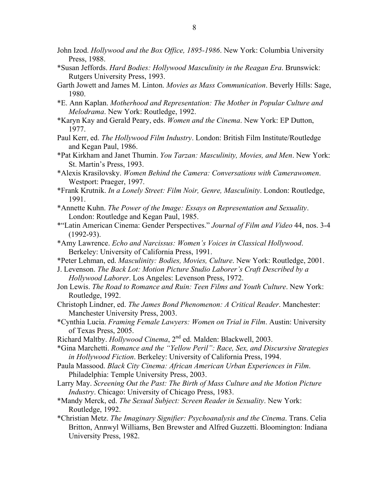- John Izod. *Hollywood and the Box Office, 1895-1986*. New York: Columbia University Press, 1988.
- \*Susan Jeffords. *Hard Bodies: Hollywood Masculinity in the Reagan Era*. Brunswick: Rutgers University Press, 1993.
- Garth Jowett and James M. Linton. *Movies as Mass Communication*. Beverly Hills: Sage, 1980.
- \*E. Ann Kaplan. *Motherhood and Representation: The Mother in Popular Culture and Melodrama*. New York: Routledge, 1992.
- \*Karyn Kay and Gerald Peary, eds. *Women and the Cinema*. New York: EP Dutton, 1977.
- Paul Kerr, ed. *The Hollywood Film Industry*. London: British Film Institute/Routledge and Kegan Paul, 1986.
- \*Pat Kirkham and Janet Thumin. *You Tarzan: Masculinity, Movies, and Men*. New York: St. Martin's Press, 1993.
- \*Alexis Krasilovsky. *Women Behind the Camera: Conversations with Camerawomen*. Westport: Praeger, 1997.
- \*Frank Krutnik. *In a Lonely Street: Film Noir, Genre, Masculinity*. London: Routledge, 1991.
- \*Annette Kuhn. *The Power of the Image: Essays on Representation and Sexuality*. London: Routledge and Kegan Paul, 1985.
- \*"Latin American Cinema: Gender Perspectives." *Journal of Film and Video* 44, nos. 3-4 (1992-93).
- \*Amy Lawrence. *Echo and Narcissus: Women's Voices in Classical Hollywood*. Berkeley: University of California Press, 1991.
- \*Peter Lehman, ed. *Masculinity: Bodies, Movies, Culture*. New York: Routledge, 2001.
- J. Levenson. *The Back Lot: Motion Picture Studio Laborer's Craft Described by a Hollywood Laborer*. Los Angeles: Levenson Press, 1972.
- Jon Lewis. *The Road to Romance and Ruin: Teen Films and Youth Culture*. New York: Routledge, 1992.
- Christoph Lindner, ed. *The James Bond Phenomenon: A Critical Reader*. Manchester: Manchester University Press, 2003.
- \*Cynthia Lucia. *Framing Female Lawyers: Women on Trial in Film*. Austin: University of Texas Press, 2005.
- Richard Maltby. *Hollywood Cinema*, 2nd ed. Malden: Blackwell, 2003.
- \*Gina Marchetti. *Romance and the "Yellow Peril": Race, Sex, and Discursive Strategies in Hollywood Fiction*. Berkeley: University of California Press, 1994.
- Paula Massood. *Black City Cinema: African American Urban Experiences in Film*. Philadelphia: Temple University Press, 2003.
- Larry May. *Screening Out the Past: The Birth of Mass Culture and the Motion Picture Industry*. Chicago: University of Chicago Press, 1983.
- \*Mandy Merck, ed. *The Sexual Subject: Screen Reader in Sexuality*. New York: Routledge, 1992.
- \*Christian Metz. *The Imaginary Signifier: Psychoanalysis and the Cinema*. Trans. Celia Britton, Annwyl Williams, Ben Brewster and Alfred Guzzetti. Bloomington: Indiana University Press, 1982.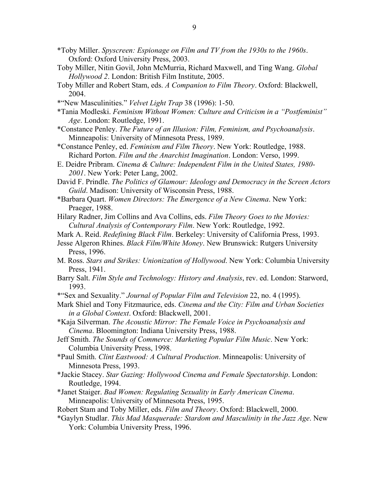- \*Toby Miller. *Spyscreen: Espionage on Film and TV from the 1930s to the 1960s*. Oxford: Oxford University Press, 2003.
- Toby Miller, Nitin Govil, John McMurria, Richard Maxwell, and Ting Wang. *Global Hollywood 2*. London: British Film Institute, 2005.
- Toby Miller and Robert Stam, eds. *A Companion to Film Theory*. Oxford: Blackwell, 2004.
- \*"New Masculinities." *Velvet Light Trap* 38 (1996): 1-50.
- \*Tania Modleski. *Feminism Without Women: Culture and Criticism in a "Postfeminist" Age*. London: Routledge, 1991.
- \*Constance Penley. *The Future of an Illusion: Film, Feminism, and Psychoanalysis*. Minneapolis: University of Minnesota Press, 1989.
- \*Constance Penley, ed. *Feminism and Film Theory*. New York: Routledge, 1988. Richard Porton. *Film and the Anarchist Imagination*. London: Verso, 1999.
- E. Deidre Pribram. *Cinema & Culture: Independent Film in the United States, 1980- 2001*. New York: Peter Lang, 2002.
- David F. Prindle. *The Politics of Glamour: Ideology and Democracy in the Screen Actors Guild*. Madison: University of Wisconsin Press, 1988.
- \*Barbara Quart. *Women Directors: The Emergence of a New Cinema*. New York: Praeger, 1988.
- Hilary Radner, Jim Collins and Ava Collins, eds. *Film Theory Goes to the Movies: Cultural Analysis of Contemporary Film*. New York: Routledge, 1992.
- Mark A. Reid. *Redefining Black Film*. Berkeley: University of California Press, 1993.
- Jesse Algeron Rhines. *Black Film/White Money*. New Brunswick: Rutgers University Press, 1996.
- M. Ross. *Stars and Strikes: Unionization of Hollywood*. New York: Columbia University Press, 1941.
- Barry Salt. *Film Style and Technology: History and Analysis*, rev. ed. London: Starword, 1993.
- \*"Sex and Sexuality." *Journal of Popular Film and Television* 22, no. 4 (1995).
- Mark Shiel and Tony Fitzmaurice, eds. *Cinema and the City: Film and Urban Societies in a Global Context*. Oxford: Blackwell, 2001.
- \*Kaja Silverman. *The Acoustic Mirror: The Female Voice in Psychoanalysis and Cinema*. Bloomington: Indiana University Press, 1988.
- Jeff Smith. *The Sounds of Commerce: Marketing Popular Film Music*. New York: Columbia University Press, 1998.
- \*Paul Smith. *Clint Eastwood: A Cultural Production*. Minneapolis: University of Minnesota Press, 1993.
- \*Jackie Stacey. *Star Gazing: Hollywood Cinema and Female Spectatorship*. London: Routledge, 1994.
- \*Janet Staiger. *Bad Women: Regulating Sexuality in Early American Cinema*. Minneapolis: University of Minnesota Press, 1995.
- Robert Stam and Toby Miller, eds. *Film and Theory*. Oxford: Blackwell, 2000.
- \*Gaylyn Studlar. *This Mad Masquerade: Stardom and Masculinity in the Jazz Age*. New York: Columbia University Press, 1996.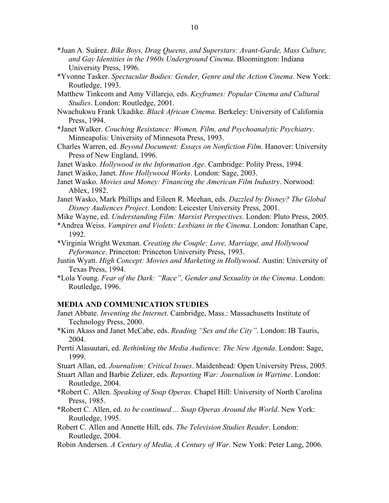- \*Juan A. Suárez. *Bike Boys, Drag Queens, and Superstars: Avant-Garde, Mass Culture, and Gay Identities in the 1960s Underground Cinema*. Bloomington: Indiana University Press, 1996.
- \*Yvonne Tasker. *Spectacular Bodies: Gender, Genre and the Action Cinema*. New York: Routledge, 1993.
- Matthew Tinkcom and Amy Villarejo, eds. *Keyframes: Popular Cinema and Cultural Studies*. London: Routledge, 2001.
- Nwachukwu Frank Ukadike. *Black African Cinema*. Berkeley: University of California Press, 1994.
- \*Janet Walker. *Couching Resistance: Women, Film, and Psychoanalytic Psychiatry*. Minneapolis: University of Minnesota Press, 1993.
- Charles Warren, ed. *Beyond Document: Essays on Nonfiction Film*. Hanover: University Press of New England, 1996.
- Janet Wasko. *Hollywood in the Information Age*. Cambridge: Polity Press, 1994.
- Janet Wasko, Janet. *How Hollywood Works*. London: Sage, 2003.
- Janet Wasko. *Movies and Money: Financing the American Film Industry*. Norwood: Ablex, 1982.
- Janet Wasko, Mark Phillips and Eileen R. Meehan, eds. *Dazzled by Disney? The Global Disney Audiences Project*. London: Leicester University Press, 2001.
- Mike Wayne, ed. *Understanding Film: Marxist Perspectives*. London: Pluto Press, 2005.
- \*Andrea Weiss. *Vampires and Violets: Lesbians in the Cinema*. London: Jonathan Cape, 1992.
- \*Virginia Wright Wexman. *Creating the Couple: Love, Marriage, and Hollywood Peformance*. Princeton: Princeton University Press, 1993.
- Justin Wyatt. *High Concept: Movies and Marketing in Hollywood*. Austin: University of Texas Press, 1994.
- \*Lola Young. *Fear of the Dark: "Race", Gender and Sexuality in the Cinema*. London: Routledge, 1996.

## **MEDIA AND COMMUNICATION STUDIES**

- Janet Abbate. *Inventing the Internet*. Cambridge, Mass.: Massachusetts Institute of Technology Press, 2000.
- \*Kim Akass and Janet McCabe, eds. *Reading "Sex and the City"*. London: IB Tauris, 2004.
- Perrti Alasuutari, ed. *Rethinking the Media Audience: The New Agenda*. London: Sage, 1999.
- Stuart Allan, ed. *Journalism: Critical Issues*. Maidenhead: Open University Press, 2005.
- Stuart Allan and Barbie Zelizer, eds. *Reporting War: Journalism in Wartime*. London: Routledge, 2004.
- \*Robert C. Allen. *Speaking of Soap Operas*. Chapel Hill: University of North Carolina Press, 1985.
- \*Robert C. Allen, ed. *to be continued ... Soap Operas Around the World*. New York: Routledge, 1995.
- Robert C. Allen and Annette Hill, eds. *The Television Studies Reader*. London: Routledge, 2004.
- Robin Andersen. *A Century of Media, A Century of War*. New York: Peter Lang, 2006.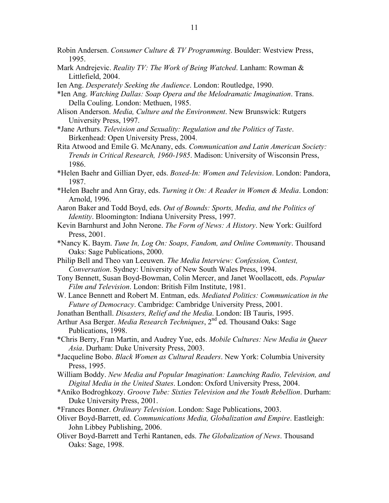- Robin Andersen. *Consumer Culture & TV Programming*. Boulder: Westview Press, 1995.
- Mark Andrejevic. *Reality TV: The Work of Being Watched*. Lanham: Rowman & Littlefield, 2004.
- Ien Ang. *Desperately Seeking the Audience*. London: Routledge, 1990.
- \*Ien Ang. *Watching Dallas: Soap Opera and the Melodramatic Imagination*. Trans. Della Couling. London: Methuen, 1985.
- Alison Anderson. *Media, Culture and the Environment*. New Brunswick: Rutgers University Press, 1997.
- \*Jane Arthurs. *Television and Sexuality: Regulation and the Politics of Taste*. Birkenhead: Open University Press, 2004.
- Rita Atwood and Emile G. McAnany, eds. *Communication and Latin American Society: Trends in Critical Research, 1960-1985*. Madison: University of Wisconsin Press, 1986.
- \*Helen Baehr and Gillian Dyer, eds. *Boxed-In: Women and Television*. London: Pandora, 1987.
- \*Helen Baehr and Ann Gray, eds. *Turning it On: A Reader in Women & Media*. London: Arnold, 1996.
- Aaron Baker and Todd Boyd, eds. *Out of Bounds: Sports, Media, and the Politics of Identity*. Bloomington: Indiana University Press, 1997.
- Kevin Barnhurst and John Nerone. *The Form of News: A History*. New York: Guilford Press, 2001.
- \*Nancy K. Baym. *Tune In, Log On: Soaps, Fandom, and Online Community*. Thousand Oaks: Sage Publications, 2000.
- Philip Bell and Theo van Leeuwen. *The Media Interview: Confession, Contest, Conversation*. Sydney: University of New South Wales Press, 1994.
- Tony Bennett, Susan Boyd-Bowman, Colin Mercer, and Janet Woollacott, eds. *Popular Film and Television*. London: British Film Institute, 1981.
- W. Lance Bennett and Robert M. Entman, eds. *Mediated Politics: Communication in the Future of Democracy*. Cambridge: Cambridge University Press, 2001.
- Jonathan Benthall. *Disasters, Relief and the Media*. London: IB Tauris, 1995.
- Arthur Asa Berger. *Media Research Techniques*, 2<sup>nd</sup> ed. Thousand Oaks: Sage Publications, 1998.
- \*Chris Berry, Fran Martin, and Audrey Yue, eds. *Mobile Cultures: New Media in Queer Asia*. Durham: Duke University Press, 2003.
- \*Jacqueline Bobo. *Black Women as Cultural Readers*. New York: Columbia University Press, 1995.
- William Boddy. *New Media and Popular Imagination: Launching Radio, Television, and Digital Media in the United States*. London: Oxford University Press, 2004.
- \*Aniko Bodroghkozy. *Groove Tube: Sixties Television and the Youth Rebellion*. Durham: Duke University Press, 2001.
- \*Frances Bonner. *Ordinary Television*. London: Sage Publications, 2003.
- Oliver Boyd-Barrett, ed. *Communications Media, Globalization and Empire*. Eastleigh: John Libbey Publishing, 2006.
- Oliver Boyd-Barrett and Terhi Rantanen, eds. *The Globalization of News*. Thousand Oaks: Sage, 1998.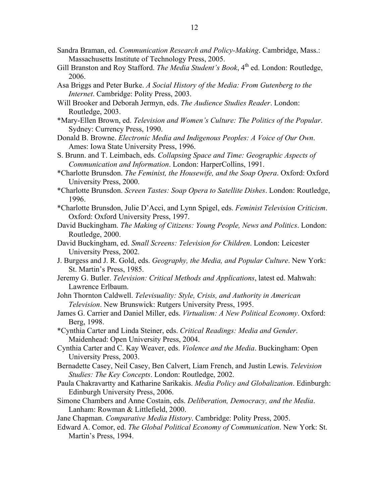- Sandra Braman, ed. *Communication Research and Policy-Making*. Cambridge, Mass.: Massachusetts Institute of Technology Press, 2005.
- Gill Branston and Roy Stafford. *The Media Student's Book*, 4<sup>th</sup> ed. London: Routledge, 2006.
- Asa Briggs and Peter Burke. *A Social History of the Media: From Gutenberg to the Internet*. Cambridge: Polity Press, 2003.
- Will Brooker and Deborah Jermyn, eds. *The Audience Studies Reader*. London: Routledge, 2003.
- \*Mary-Ellen Brown, ed. *Television and Women's Culture: The Politics of the Popular*. Sydney: Currency Press, 1990.
- Donald B. Browne. *Electronic Media and Indigenous Peoples: A Voice of Our Own*. Ames: Iowa State University Press, 1996.
- S. Brunn. and T. Leimbach, eds. *Collapsing Space and Time: Geographic Aspects of Communication and Information*. London: HarperCollins, 1991.
- \*Charlotte Brunsdon. *The Feminist, the Housewife, and the Soap Opera*. Oxford: Oxford University Press, 2000.
- \*Charlotte Brunsdon. *Screen Tastes: Soap Opera to Satellite Dishes*. London: Routledge, 1996.
- \*Charlotte Brunsdon, Julie D'Acci, and Lynn Spigel, eds. *Feminist Television Criticism*. Oxford: Oxford University Press, 1997.
- David Buckingham. *The Making of Citizens: Young People, News and Politics*. London: Routledge, 2000.
- David Buckingham, ed. *Small Screens: Television for Children*. London: Leicester University Press, 2002.
- J. Burgess and J. R. Gold, eds. *Geography, the Media, and Popular Culture*. New York: St. Martin's Press, 1985.
- Jeremy G. Butler. *Television: Critical Methods and Applications*, latest ed. Mahwah: Lawrence Erlbaum.
- John Thornton Caldwell. *Televisuality: Style, Crisis, and Authority in American Television*. New Brunswick: Rutgers University Press, 1995.
- James G. Carrier and Daniel Miller, eds. *Virtualism: A New Political Economy*. Oxford: Berg, 1998.
- \*Cynthia Carter and Linda Steiner, eds. *Critical Readings: Media and Gender*. Maidenhead: Open University Press, 2004.
- Cynthia Carter and C. Kay Weaver, eds. *Violence and the Media*. Buckingham: Open University Press, 2003.
- Bernadette Casey, Neil Casey, Ben Calvert, Liam French, and Justin Lewis. *Television Studies: The Key Concepts*. London: Routledge, 2002.
- Paula Chakravartty and Katharine Sarikakis. *Media Policy and Globalization*. Edinburgh: Edinburgh University Press, 2006.
- Simone Chambers and Anne Costain, eds. *Deliberation, Democracy, and the Media*. Lanham: Rowman & Littlefield, 2000.
- Jane Chapman. *Comparative Media History*. Cambridge: Polity Press, 2005.
- Edward A. Comor, ed. *The Global Political Economy of Communication*. New York: St. Martin's Press, 1994.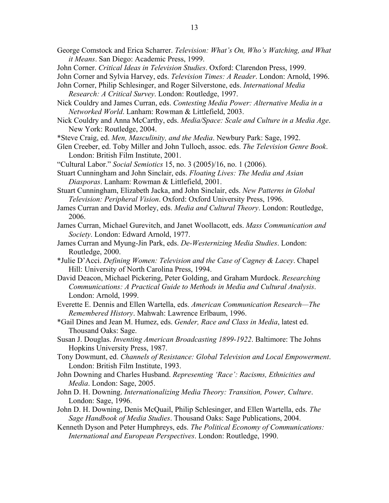- George Comstock and Erica Scharrer. *Television: What's On, Who's Watching, and What it Means*. San Diego: Academic Press, 1999.
- John Corner. *Critical Ideas in Television Studies*. Oxford: Clarendon Press, 1999.
- John Corner and Sylvia Harvey, eds. *Television Times: A Reader*. London: Arnold, 1996.
- John Corner, Philip Schlesinger, and Roger Silverstone, eds. *International Media Research: A Critical Survey*. London: Routledge, 1997.
- Nick Couldry and James Curran, eds. *Contesting Media Power: Alternative Media in a Networked World*. Lanham: Rowman & Littlefield, 2003.
- Nick Couldry and Anna McCarthy, eds. *Media/Space: Scale and Culture in a Media Age*. New York: Routledge, 2004.
- \*Steve Craig, ed. *Men, Masculinity, and the Media*. Newbury Park: Sage, 1992.
- Glen Creeber, ed. Toby Miller and John Tulloch, assoc. eds. *The Television Genre Book*. London: British Film Institute, 2001.
- "Cultural Labor." *Social Semiotics* 15, no. 3 (2005)/16, no. 1 (2006).
- Stuart Cunningham and John Sinclair, eds. *Floating Lives: The Media and Asian Diasporas*. Lanham: Rowman & Littlefield, 2001.
- Stuart Cunningham, Elizabeth Jacka, and John Sinclair, eds. *New Patterns in Global Television: Peripheral Vision*. Oxford: Oxford University Press, 1996.
- James Curran and David Morley, eds. *Media and Cultural Theory*. London: Routledge, 2006.
- James Curran, Michael Gurevitch, and Janet Woollacott, eds. *Mass Communication and Society*. London: Edward Arnold, 1977.
- James Curran and Myung-Jin Park, eds. *De-Westernizing Media Studies*. London: Routledge, 2000.
- \*Julie D'Acci. *Defining Women: Television and the Case of Cagney & Lacey*. Chapel Hill: University of North Carolina Press, 1994.
- David Deacon, Michael Pickering, Peter Golding, and Graham Murdock. *Researching Communications: A Practical Guide to Methods in Media and Cultural Analysis*. London: Arnold, 1999.
- Everette E. Dennis and Ellen Wartella, eds. *American Communication Research—The Remembered History*. Mahwah: Lawrence Erlbaum, 1996.
- \*Gail Dines and Jean M. Humez, eds. *Gender, Race and Class in Media*, latest ed. Thousand Oaks: Sage.
- Susan J. Douglas. *Inventing American Broadcasting 1899-1922*. Baltimore: The Johns Hopkins University Press, 1987.
- Tony Dowmunt, ed. *Channels of Resistance: Global Television and Local Empowerment*. London: British Film Institute, 1993.
- John Downing and Charles Husband. *Representing 'Race': Racisms, Ethnicities and Media*. London: Sage, 2005.
- John D. H. Downing. *Internationalizing Media Theory: Transition, Power, Culture*. London: Sage, 1996.
- John D. H. Downing, Denis McQuail, Philip Schlesinger, and Ellen Wartella, eds. *The Sage Handbook of Media Studies*. Thousand Oaks: Sage Publications, 2004.
- Kenneth Dyson and Peter Humphreys, eds. *The Political Economy of Communications: International and European Perspectives*. London: Routledge, 1990.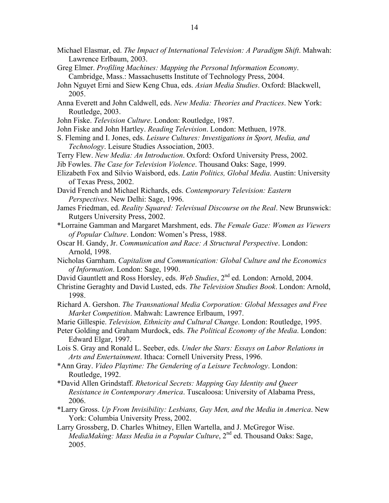- Michael Elasmar, ed. *The Impact of International Television: A Paradigm Shift*. Mahwah: Lawrence Erlbaum, 2003.
- Greg Elmer. *Profiling Machines: Mapping the Personal Information Economy*. Cambridge, Mass.: Massachusetts Institute of Technology Press, 2004.
- John Nguyet Erni and Siew Keng Chua, eds. *Asian Media Studies*. Oxford: Blackwell, 2005.
- Anna Everett and John Caldwell, eds. *New Media: Theories and Practices*. New York: Routledge, 2003.
- John Fiske. *Television Culture*. London: Routledge, 1987.
- John Fiske and John Hartley. *Reading Television*. London: Methuen, 1978.
- S. Fleming and I. Jones, eds. *Leisure Cultures: Investigations in Sport, Media, and Technology*. Leisure Studies Association, 2003.
- Terry Flew. *New Media: An Introduction*. Oxford: Oxford University Press, 2002.
- Jib Fowles. *The Case for Television Violence*. Thousand Oaks: Sage, 1999.
- Elizabeth Fox and Silvio Waisbord, eds. *Latin Politics, Global Media*. Austin: University of Texas Press, 2002.
- David French and Michael Richards, eds. *Contemporary Television: Eastern Perspectives*. New Delhi: Sage, 1996.
- James Friedman, ed. *Reality Squared: Televisual Discourse on the Real*. New Brunswick: Rutgers University Press, 2002.
- \*Lorraine Gamman and Margaret Marshment, eds. *The Female Gaze: Women as Viewers of Popular Culture*. London: Women's Press, 1988.
- Oscar H. Gandy, Jr. *Communication and Race: A Structural Perspective*. London: Arnold, 1998.
- Nicholas Garnham. *Capitalism and Communication: Global Culture and the Economics of Information*. London: Sage, 1990.
- David Gauntlett and Ross Horsley, eds. *Web Studies*, 2<sup>nd</sup> ed. London: Arnold, 2004.
- Christine Geraghty and David Lusted, eds. *The Television Studies Book*. London: Arnold, 1998.
- Richard A. Gershon. *The Transnational Media Corporation: Global Messages and Free Market Competition*. Mahwah: Lawrence Erlbaum, 1997.
- Marie Gillespie. *Television, Ethnicity and Cultural Change*. London: Routledge, 1995.
- Peter Golding and Graham Murdock, eds. *The Political Economy of the Media*. London: Edward Elgar, 1997.
- Lois S. Gray and Ronald L. Seeber, eds. *Under the Stars: Essays on Labor Relations in Arts and Entertainment*. Ithaca: Cornell University Press, 1996.
- \*Ann Gray. *Video Playtime: The Gendering of a Leisure Technology*. London: Routledge, 1992.
- \*David Allen Grindstaff. *Rhetorical Secrets: Mapping Gay Identity and Queer Resistance in Contemporary America*. Tuscaloosa: University of Alabama Press, 2006.
- \*Larry Gross. *Up From Invisibility: Lesbians, Gay Men, and the Media in America*. New York: Columbia University Press, 2002.
- Larry Grossberg, D. Charles Whitney, Ellen Wartella, and J. McGregor Wise. *MediaMaking: Mass Media in a Popular Culture*, 2<sup>nd</sup> ed. Thousand Oaks: Sage, 2005.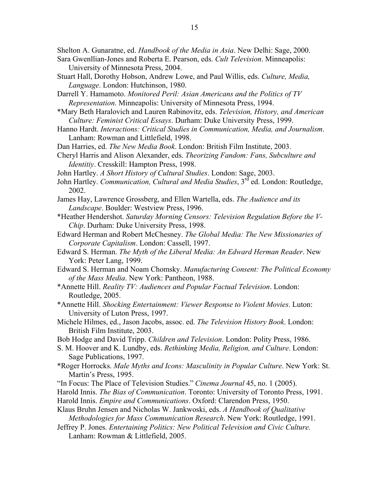Shelton A. Gunaratne, ed. *Handbook of the Media in Asia*. New Delhi: Sage, 2000.

- Sara Gwenllian-Jones and Roberta E. Pearson, eds. *Cult Television*. Minneapolis: University of Minnesota Press, 2004.
- Stuart Hall, Dorothy Hobson, Andrew Lowe, and Paul Willis, eds. *Culture, Media, Language*. London: Hutchinson, 1980.

Darrell Y. Hamamoto. *Monitored Peril: Asian Americans and the Politics of TV Representation*. Minneapolis: University of Minnesota Press, 1994.

\*Mary Beth Haralovich and Lauren Rabinovitz, eds. *Television, History, and American Culture: Feminist Critical Essays*. Durham: Duke University Press, 1999.

- Hanno Hardt. *Interactions: Critical Studies in Communication, Media, and Journalism*. Lanham: Rowman and Littlefield, 1998.
- Dan Harries, ed. *The New Media Book*. London: British Film Institute, 2003.
- Cheryl Harris and Alison Alexander, eds. *Theorizing Fandom: Fans, Subculture and Identitiy*. Cresskill: Hampton Press, 1998.

John Hartley. *A Short History of Cultural Studies*. London: Sage, 2003.

- John Hartley. *Communication, Cultural and Media Studies*, 3<sup>rd</sup> ed. London: Routledge, 2002.
- James Hay, Lawrence Grossberg, and Ellen Wartella, eds. *The Audience and its Landscape*. Boulder: Westview Press, 1996.
- \*Heather Hendershot. *Saturday Morning Censors: Television Regulation Before the V-Chip*. Durham: Duke University Press, 1998.
- Edward Herman and Robert McChesney. *The Global Media: The New Missionaries of Corporate Capitalism*. London: Cassell, 1997.
- Edward S. Herman. *The Myth of the Liberal Media: An Edward Herman Reader*. New York: Peter Lang, 1999.
- Edward S. Herman and Noam Chomsky. *Manufacturing Consent: The Political Economy of the Mass Media*. New York: Pantheon, 1988.
- \*Annette Hill. *Reality TV: Audiences and Popular Factual Television*. London: Routledge, 2005.
- \*Annette Hill. *Shocking Entertainment: Viewer Response to Violent Movies*. Luton: University of Luton Press, 1997.
- Michele Hilmes, ed., Jason Jacobs, assoc. ed. *The Television History Book*. London: British Film Institute, 2003.
- Bob Hodge and David Tripp. *Children and Television*. London: Polity Press, 1986.
- S. M. Hoover and K. Lundby, eds. *Rethinking Media, Religion, and Culture*. London: Sage Publications, 1997.
- \*Roger Horrocks. *Male Myths and Icons: Masculinity in Popular Culture*. New York: St. Martin's Press, 1995.
- "In Focus: The Place of Television Studies." *Cinema Journal* 45, no. 1 (2005).
- Harold Innis. *The Bias of Communication*. Toronto: University of Toronto Press, 1991.
- Harold Innis. *Empire and Communications*. Oxford: Clarendon Press, 1950.
- Klaus Bruhn Jensen and Nicholas W. Jankwoski, eds. *A Handbook of Qualitative Methodologies for Mass Communication Research*. New York: Routledge, 1991.
- Jeffrey P. Jones. *Entertaining Politics: New Political Television and Civic Culture*. Lanham: Rowman & Littlefield, 2005.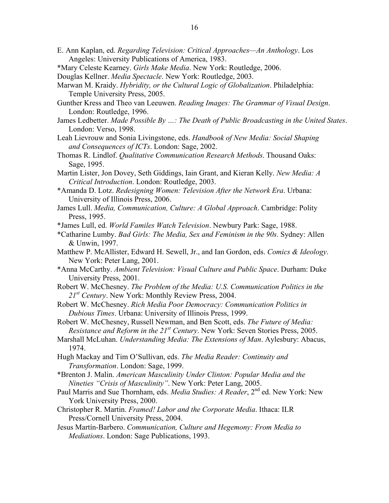- E. Ann Kaplan, ed. *Regarding Television: Critical Approaches—An Anthology*. Los Angeles: University Publications of America, 1983.
- \*Mary Celeste Kearney. *Girls Make Media*. New York: Routledge, 2006.
- Douglas Kellner. *Media Spectacle*. New York: Routledge, 2003.
- Marwan M. Kraidy. *Hybridity, or the Cultural Logic of Globalization*. Philadelphia: Temple University Press, 2005.
- Gunther Kress and Theo van Leeuwen. *Reading Images: The Grammar of Visual Design*. London: Routledge, 1996.
- James Ledbetter. *Made Possible By …: The Death of Public Broadcasting in the United States*. London: Verso, 1998.
- Leah Lievrouw and Sonia Livingstone, eds. *Handbook of New Media: Social Shaping and Consequences of ICTs*. London: Sage, 2002.
- Thomas R. Lindlof. *Qualitative Communication Research Methods*. Thousand Oaks: Sage, 1995.
- Martin Lister, Jon Dovey, Seth Giddings, Iain Grant, and Kieran Kelly. *New Media: A Critical Introduction*. London: Routledge, 2003.
- \*Amanda D. Lotz. *Redesigning Women: Television After the Network Era*. Urbana: University of Illinois Press, 2006.
- James Lull. *Media, Communication, Culture: A Global Approach*. Cambridge: Polity Press, 1995.
- \*James Lull, ed. *World Familes Watch Television*. Newbury Park: Sage, 1988.
- \*Catharine Lumby. *Bad Girls: The Media, Sex and Feminism in the 90s*. Sydney: Allen & Unwin, 1997.
- Matthew P. McAllister, Edward H. Sewell, Jr., and Ian Gordon, eds. *Comics & Ideology*. New York: Peter Lang, 2001.
- \*Anna McCarthy. *Ambient Television: Visual Culture and Public Space*. Durham: Duke University Press, 2001.
- Robert W. McChesney. *The Problem of the Media: U.S. Communication Politics in the 21st Century*. New York: Monthly Review Press, 2004.
- Robert W. McChesney. *Rich Media Poor Democracy: Communication Politics in Dubious Times*. Urbana: University of Illinois Press, 1999.

Robert W. McChesney, Russell Newman, and Ben Scott, eds. *The Future of Media: Resistance and Reform in the 21st Century*. New York: Seven Stories Press, 2005.

- Marshall McLuhan. *Understanding Media: The Extensions of Man*. Aylesbury: Abacus, 1974.
- Hugh Mackay and Tim O'Sullivan, eds. *The Media Reader: Continuity and Transformation*. London: Sage, 1999.
- \*Brenton J. Malin. *American Masculinity Under Clinton: Popular Media and the Nineties "Crisis of Masculinity"*. New York: Peter Lang, 2005.
- Paul Marris and Sue Thornham, eds. *Media Studies: A Reader*, 2nd ed. New York: New York University Press, 2000.
- Christopher R. Martin. *Framed! Labor and the Corporate Media*. Ithaca: ILR Press/Cornell University Press, 2004.
- Jesus Martín-Barbero. *Communication, Culture and Hegemony: From Media to Mediations*. London: Sage Publications, 1993.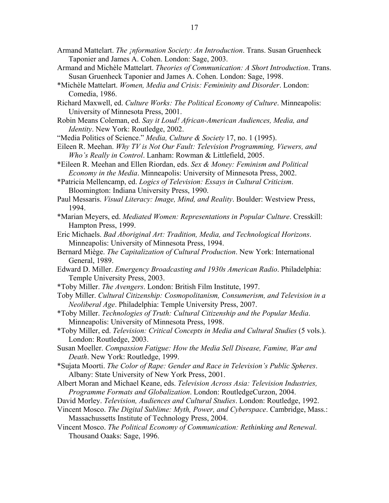- Armand Mattelart. *The ¡nformation Society: An Introduction*. Trans. Susan Gruenheck Taponier and James A. Cohen. London: Sage, 2003.
- Armand and Michèle Mattelart. *Theories of Communication: A Short Introduction*. Trans. Susan Gruenheck Taponier and James A. Cohen. London: Sage, 1998.
- \*Michèle Mattelart. *Women, Media and Crisis: Femininity and Disorder*. London: Comedia, 1986.
- Richard Maxwell, ed. *Culture Works: The Political Economy of Culture*. Minneapolis: University of Minnesota Press, 2001.
- Robin Means Coleman, ed. *Say it Loud! African-American Audiences, Media, and Identity*. New York: Routledge, 2002.
- "Media Politics of Science." *Media, Culture & Society* 17, no. 1 (1995).
- Eileen R. Meehan. *Why TV is Not Our Fault: Television Programming, Viewers, and Who's Really in Control*. Lanham: Rowman & Littlefield, 2005.
- \*Eileen R. Meehan and Ellen Riordan, eds. *Sex & Money: Feminism and Political Economy in the Media*. Minneapolis: University of Minnesota Press, 2002.

\*Patricia Mellencamp, ed. *Logics of Television: Essays in Cultural Criticism*. Bloomington: Indiana University Press, 1990.

- Paul Messaris. *Visual Literacy: Image, Mind, and Reality*. Boulder: Westview Press, 1994.
- \*Marian Meyers, ed. *Mediated Women: Representations in Popular Culture*. Cresskill: Hampton Press, 1999.
- Eric Michaels. *Bad Aboriginal Art: Tradition, Media, and Technological Horizons*. Minneapolis: University of Minnesota Press, 1994.
- Bernard Miège. *The Capitalization of Cultural Production*. New York: International General, 1989.
- Edward D. Miller. *Emergency Broadcasting and 1930s American Radio*. Philadelphia: Temple University Press, 2003.
- \*Toby Miller. *The Avengers*. London: British Film Institute, 1997.
- Toby Miller. *Cultural Citizenship: Cosmopolitanism, Consumerism, and Television in a Neoliberal Age*. Philadelphia: Temple University Press, 2007.
- \*Toby Miller. *Technologies of Truth: Cultural Citizenship and the Popular Media*. Minneapolis: University of Minnesota Press, 1998.
- \*Toby Miller, ed. *Television: Critical Concepts in Media and Cultural Studies* (5 vols.). London: Routledge, 2003.
- Susan Moeller. *Compassion Fatigue: How the Media Sell Disease, Famine, War and Death*. New York: Routledge, 1999.
- \*Sujata Moorti. *The Color of Rape: Gender and Race in Television's Public Spheres*. Albany: State University of New York Press, 2001.
- Albert Moran and Michael Keane, eds. *Television Across Asia: Television Industries, Programme Formats and Globalization*. London: RoutledgeCurzon, 2004.
- David Morley. *Television, Audiences and Cultural Studies*. London: Routledge, 1992.
- Vincent Mosco. *The Digital Sublime: Myth, Power, and Cyberspace*. Cambridge, Mass.: Massachussetts Institute of Technology Press, 2004.
- Vincent Mosco. *The Political Economy of Communication: Rethinking and Renewal*. Thousand Oaaks: Sage, 1996.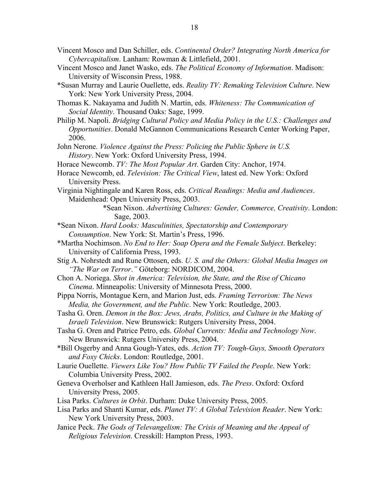- Vincent Mosco and Janet Wasko, eds. *The Political Economy of Information*. Madison: University of Wisconsin Press, 1988.
- \*Susan Murray and Laurie Ouellette, eds. *Reality TV: Remaking Television Culture*. New York: New York University Press, 2004.
- Thomas K. Nakayama and Judith N. Martin, eds. *Whiteness: The Communication of Social Identity*. Thousand Oaks: Sage, 1999.
- Philip M. Napoli. *Bridging Cultural Policy and Media Policy in the U.S.: Challenges and Opportunities*. Donald McGannon Communications Research Center Working Paper, 2006.

John Nerone. *Violence Against the Press: Policing the Public Sphere in U.S. History*. New York: Oxford University Press, 1994.

Horace Newcomb. *TV: The Most Popular Art*. Garden City: Anchor, 1974.

# Horace Newcomb, ed. *Television: The Critical View*, latest ed. New York: Oxford University Press.

Virginia Nightingale and Karen Ross, eds. *Critical Readings: Media and Audiences*. Maidenhead: Open University Press, 2003.

- \*Sean Nixon. *Advertising Cultures: Gender, Commerce, Creativity*. London: Sage, 2003.
- \*Sean Nixon. *Hard Looks: Masculinities, Spectatorship and Contemporary Consumption*. New York: St. Martin's Press, 1996.
- \*Martha Nochimson. *No End to Her: Soap Opera and the Female Subject*. Berkeley: University of California Press, 1993.
- Stig A. Nohrstedt and Rune Ottosen, eds. *U. S. and the Others: Global Media Images on "The War on Terror*.*"* Göteborg: NORDICOM, 2004.
- Chon A. Noriega. *Shot in America: Television, the State, and the Rise of Chicano Cinema*. Minneapolis: University of Minnesota Press, 2000.
- Pippa Norris, Montague Kern, and Marion Just, eds. *Framing Terrorism: The News Media, the Government, and the Public*. New York: Routledge, 2003.
- Tasha G. Oren. *Demon in the Box: Jews, Arabs, Politics, and Culture in the Making of Israeli Television*. New Brunswick: Rutgers University Press, 2004.
- Tasha G. Oren and Patrice Petro, eds. *Global Currents: Media and Technology Now*. New Brunswick: Rutgers University Press, 2004.
- \*Bill Osgerby and Anna Gough-Yates, eds. *Action TV: Tough-Guys, Smooth Operators and Foxy Chicks*. London: Routledge, 2001.
- Laurie Ouellette. *Viewers Like You? How Public TV Failed the People*. New York: Columbia University Press, 2002.
- Geneva Overholser and Kathleen Hall Jamieson, eds. *The Press*. Oxford: Oxford University Press, 2005.
- Lisa Parks. *Cultures in Orbit*. Durham: Duke University Press, 2005.
- Lisa Parks and Shanti Kumar, eds. *Planet TV: A Global Television Reader*. New York: New York University Press, 2003.
- Janice Peck. *The Gods of Televangelism: The Crisis of Meaning and the Appeal of Religious Television*. Cresskill: Hampton Press, 1993.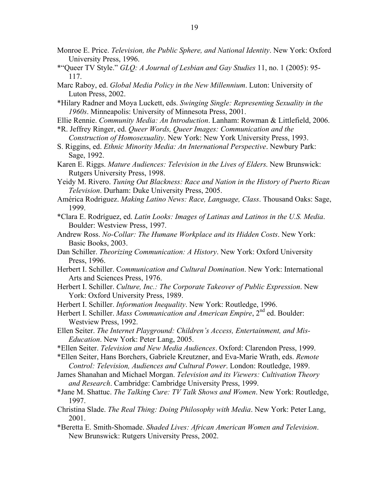- Monroe E. Price. *Television, the Public Sphere, and National Identity*. New York: Oxford University Press, 1996.
- \*"Queer TV Style." *GLQ: A Journal of Lesbian and Gay Studies* 11, no. 1 (2005): 95- 117.
- Marc Raboy, ed. *Global Media Policy in the New Millennium*. Luton: University of Luton Press, 2002.
- \*Hilary Radner and Moya Luckett, eds. *Swinging Single: Representing Sexuality in the 1960s*. Minneapolis: University of Minnesota Press, 2001.
- Ellie Rennie. *Community Media: An Introduction*. Lanham: Rowman & Littlefield, 2006.
- \*R. Jeffrey Ringer, ed. *Queer Words, Queer Images: Communication and the Construction of Homosexuality*. New York: New York University Press, 1993.
- S. Riggins, ed. *Ethnic Minority Media: An International Perspective*. Newbury Park: Sage, 1992.
- Karen E. Riggs. *Mature Audiences: Television in the Lives of Elders*. New Brunswick: Rutgers University Press, 1998.
- Yeidy M. Rivero. *Tuning Out Blackness: Race and Nation in the History of Puerto Rican Television*. Durham: Duke University Press, 2005.
- América Rodriguez. *Making Latino News: Race, Language, Class*. Thousand Oaks: Sage, 1999.
- \*Clara E. Rodríguez, ed. *Latin Looks: Images of Latinas and Latinos in the U.S. Media*. Boulder: Westview Press, 1997.
- Andrew Ross. *No-Collar: The Humane Workplace and its Hidden Costs*. New York: Basic Books, 2003.
- Dan Schiller. *Theorizing Communication: A History*. New York: Oxford University Press, 1996.
- Herbert I. Schiller. C*ommunication and Cultural Domination*. New York: International Arts and Sciences Press, 1976.
- Herbert I. Schiller. *Culture, Inc.: The Corporate Takeover of Public Expression*. New York: Oxford University Press, 1989.
- Herbert I. Schiller. *Information Inequality*. New York: Routledge, 1996.
- Herbert I. Schiller. *Mass Communication and American Empire*, 2<sup>nd</sup> ed. Boulder: Westview Press, 1992.
- Ellen Seiter. *The Internet Playground: Children's Access, Entertainment, and Mis-Education*. New York: Peter Lang, 2005.
- \*Ellen Seiter. *Television and New Media Audiences*. Oxford: Clarendon Press, 1999.
- \*Ellen Seiter, Hans Borchers, Gabriele Kreutzner, and Eva-Marie Wrath, eds. *Remote Control: Television, Audiences and Cultural Power*. London: Routledge, 1989.
- James Shanahan and Michael Morgan. *Television and its Viewers: Cultivation Theory and Research*. Cambridge: Cambridge University Press, 1999.
- \*Jane M. Shattuc. *The Talking Cure: TV Talk Shows and Women*. New York: Routledge, 1997.
- Christina Slade. *The Real Thing: Doing Philosophy with Media*. New York: Peter Lang, 2001.
- \*Beretta E. Smith-Shomade. *Shaded Lives: African American Women and Television*. New Brunswick: Rutgers University Press, 2002.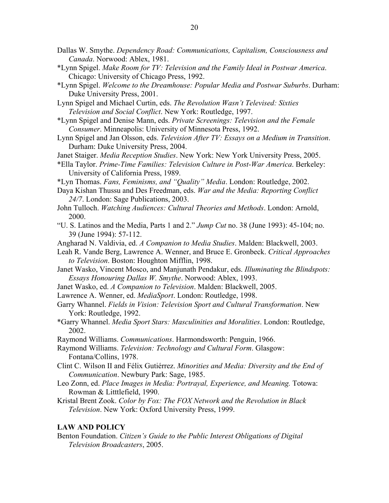- Dallas W. Smythe. *Dependency Road: Communications, Capitalism, Consciousness and Canada*. Norwood: Ablex, 1981.
- \*Lynn Spigel. *Make Room for TV: Television and the Family Ideal in Postwar America*. Chicago: University of Chicago Press, 1992.
- \*Lynn Spigel. *Welcome to the Dreamhouse: Popular Media and Postwar Suburbs*. Durham: Duke University Press, 2001.
- Lynn Spigel and Michael Curtin, eds. *The Revolution Wasn't Televised: Sixties Television and Social Conflict*. New York: Routledge, 1997.
- \*Lynn Spigel and Denise Mann, eds. *Private Screenings: Television and the Female Consumer*. Minneapolis: University of Minnesota Press, 1992.
- Lynn Spigel and Jan Olsson, eds. *Television After TV: Essays on a Medium in Transition*. Durham: Duke University Press, 2004.
- Janet Staiger. *Media Reception Studies*. New York: New York University Press, 2005.
- \*Ella Taylor. *Prime-Time Families: Television Culture in Post-War America*. Berkeley: University of California Press, 1989.
- \*Lyn Thomas. *Fans, Feminisms, and "Quality" Media*. London: Routledge, 2002.
- Daya Kishan Thussu and Des Freedman, eds. *War and the Media: Reporting Conflict 24/7*. London: Sage Publications, 2003.
- John Tulloch. *Watching Audiences: Cultural Theories and Methods*. London: Arnold, 2000.
- "U. S. Latinos and the Media, Parts 1 and 2." *Jump Cut* no. 38 (June 1993): 45-104; no. 39 (June 1994): 57-112.
- Angharad N. Valdivia, ed. *A Companion to Media Studies*. Malden: Blackwell, 2003.
- Leah R. Vande Berg, Lawrence A. Wenner, and Bruce E. Gronbeck. *Critical Approaches to Television*. Boston: Houghton Mifflin, 1998.
- Janet Wasko, Vincent Mosco, and Manjunath Pendakur, eds. *Illuminating the Blindspots: Essays Honouring Dallas W. Smythe*. Norwood: Ablex, 1993.
- Janet Wasko, ed. *A Companion to Television*. Malden: Blackwell, 2005.
- Lawrence A. Wenner, ed. *MediaSport*. London: Routledge, 1998.
- Garry Whannel. *Fields in Vision: Television Sport and Cultural Transformation*. New York: Routledge, 1992.
- \*Garry Whannel. *Media Sport Stars: Masculinities and Moralities*. London: Routledge, 2002.
- Raymond Williams. *Communications*. Harmondsworth: Penguin, 1966.

Raymond Williams. *Television: Technology and Cultural Form*. Glasgow: Fontana/Collins, 1978.

- Clint C. Wilson II and Félix Gutiérrez. *Minorities and Media: Diversity and the End of Communication*. Newbury Park: Sage, 1985.
- Leo Zonn, ed. *Place Images in Media: Portrayal, Experience, and Meaning.* Totowa: Rowman & Litttlefield, 1990.
- Kristal Brent Zook. *Color by Fox: The FOX Network and the Revolution in Black Television*. New York: Oxford University Press, 1999.

# **LAW AND POLICY**

Benton Foundation. *Citizen's Guide to the Public Interest Obligations of Digital Television Broadcasters*, 2005.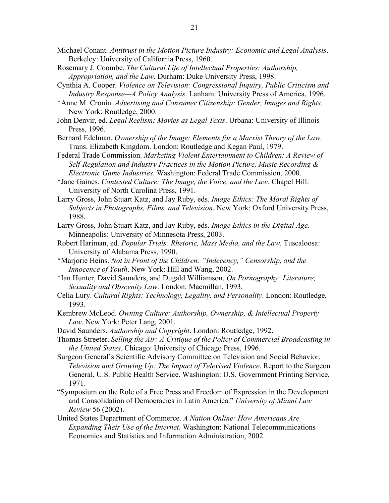- Michael Conant. *Antitrust in the Motion Picture Industry: Economic and Legal Analysis*. Berkeley: University of California Press, 1960.
- Rosemary J. Coombe. *The Cultural Life of Intellectual Properties: Authorship, Appropriation, and the Law*. Durham: Duke University Press, 1998.
- Cynthia A. Cooper. *Violence on Television: Congressional Inquiry, Public Criticism and Industry Response—A Policy Analysis*. Lanham: University Press of America, 1996.
- \*Anne M. Cronin. *Advertising and Consumer Citizenship: Gender, Images and Rights*. New York: Routledge, 2000.
- John Denvir, ed. *Legal Reelism: Movies as Legal Texts*. Urbana: University of Illinois Press, 1996.
- Bernard Edelman. *Ownership of the Image: Elements for a Marxist Theory of the Law*. Trans. Elizabeth Kingdom. London: Routledge and Kegan Paul, 1979.
- Federal Trade Commission. *Marketing Violent Entertainment to Children: A Review of Self-Regulation and Industry Practices in the Motion Picture, Music Recording & Electronic Game Industries*. Washington: Federal Trade Commission, 2000.
- \*Jane Gaines. *Contested Culture: The Image, the Voice, and the Law*. Chapel Hill: University of North Carolina Press, 1991.
- Larry Gross, John Stuart Katz, and Jay Ruby, eds. *Image Ethics: The Moral Rights of Subjects in Photographs, Films, and Television*. New York: Oxford University Press, 1988.
- Larry Gross, John Stuart Katz, and Jay Ruby, eds. *Image Ethics in the Digital Age*. Minneapolis: University of Minnesota Press, 2003.
- Robert Hariman, ed. *Popular Trials: Rhetoric, Mass Media, and the Law*. Tuscaloosa: University of Alabama Press, 1990.
- \*Marjorie Heins. *Not in Front of the Children: "Indecency," Censorship, and the Innocence of Youth*. New York: Hill and Wang, 2002.
- \*Ian Hunter, David Saunders, and Dugald Williamson. *On Pornography: Literature, Sexuality and Obscenity Law*. London: Macmillan, 1993.
- Celia Lury. *Cultural Rights: Technology, Legality, and Personality*. London: Routledge, 1993.
- Kembrew McLeod. *Owning Culture: Authorship, Ownership, & Intellectual Property Law*. New York: Peter Lang, 2001.
- David Saunders. *Authorship and Copyright*. London: Routledge, 1992.
- Thomas Streeter. *Selling the Air: A Critique of the Policy of Commercial Broadcasting in the United States*. Chicago: University of Chicago Press, 1996.
- Surgeon General's Scientific Advisory Committee on Television and Social Behavior. *Television and Growing Up: The Impact of Televised Violence*. Report to the Surgeon General, U.S. Public Health Service. Washington: U.S. Government Printing Service, 1971.
- "Symposium on the Role of a Free Press and Freedom of Expression in the Development and Consolidation of Democracies in Latin America." *University of Miami Law Review* 56 (2002).
- United States Department of Commerce. *A Nation Online: How Americans Are Expanding Their Use of the Internet*. Washington: National Telecommunications Economics and Statistics and Information Administration, 2002.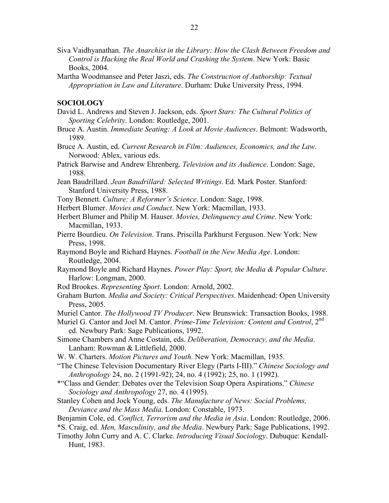- Siva Vaidhyanathan. *The Anarchist in the Library: How the Clash Between Freedom and Control is Hacking the Real World and Crashing the System*. New York: Basic Books, 2004.
- Martha Woodmansee and Peter Jaszi, eds. *The Construction of Authorship: Textual Appropriation in Law and Literature*. Durham: Duke University Press, 1994.

## **SOCIOLOGY**

- David L. Andrews and Steven J. Jackson, eds. *Sport Stars: The Cultural Politics of Sporting Celebrity*. London: Routledge, 2001.
- Bruce A. Austin. *Immediate Seating: A Look at Movie Audiences*. Belmont: Wadsworth, 1989.
- Bruce A. Austin, ed. *Current Research in Film: Audiences, Economics, and the Law*. Norwood: Ablex, various eds.
- Patrick Barwise and Andrew Ehrenberg. *Television and its Audience*. London: Sage, 1988.
- Jean Baudrillard. *Jean Baudrillard: Selected Writings*. Ed. Mark Poster. Stanford: Stanford University Press, 1988.
- Tony Bennett. *Culture: A Reformer's Science*. London: Sage, 1998.
- Herbert Blumer. *Movies and Conduct*. New York: Macmillan, 1933.
- Herbert Blumer and Philip M. Hauser. *Movies, Delinquency and Crime*. New York: Macmillan, 1933.
- Pierre Bourdieu. *On Television*. Trans. Priscilla Parkhurst Ferguson. New York: New Press, 1998.
- Raymond Boyle and Richard Haynes. *Football in the New Media Age*. London: Routledge, 2004.
- Raymond Boyle and Richard Haynes. *Power Play: Sport, the Media & Popular Culture*. Harlow: Longman, 2000.
- Rod Brookes. *Representing Sport*. London: Arnold, 2002.
- Graham Burton. *Media and Society: Critical Perspectives*. Maidenhead: Open University Press, 2005.
- Muriel Cantor. *The Hollywood TV Producer*. New Brunswick: Transaction Books, 1988.
- Muriel G. Cantor and Joel M. Cantor. *Prime-Time Television: Content and Control*, 2<sup>nd</sup> ed. Newbury Park: Sage Publications, 1992.
- Simone Chambers and Anne Costain, eds. *Deliberation, Democracy, and the Media*. Lanham: Rowman & Littlefield, 2000.
- W. W. Charters. *Motion Pictures and Youth*. New York: Macmillan, 1935.
- "The Chinese Television Documentary River Elegy (Parts I-III)." *Chinese Sociology and Anthropology* 24, no. 2 (1991-92); 24, no. 4 (1992); 25, no. 1 (1992).
- \*"Class and Gender: Debates over the Television Soap Opera Aspirations." *Chinese Sociology and Anthropology* 27, no. 4 (1995).
- Stanley Cohen and Jock Young, eds. *The Manufacture of News: Social Problems, Deviance and the Mass Media*. London: Constable, 1973.
- Benjamin Cole, ed. *Conflict, Terrorism and the Media in Asia*. London: Routledge, 2006.
- \*S. Craig, ed. *Men, Masculinity, and the Media*. Newbury Park: Sage Publications, 1992.
- Timothy John Curry and A. C. Clarke. *Introducing Visual Sociology*. Dubuque: Kendall-Hunt, 1983.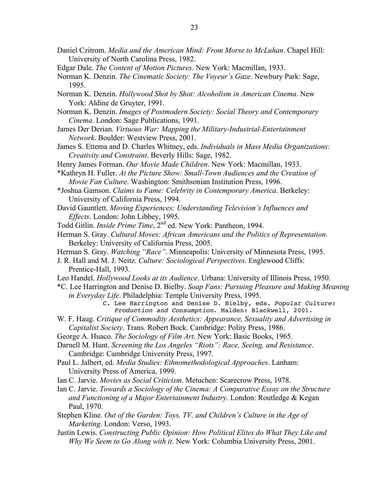- Daniel Czitrom. *Media and the American Mind: From Morse to McLuhan*. Chapel Hill: University of North Carolina Press, 1982.
- Edgar Dale. *The Content of Motion Pictures*. New York: Macmillan, 1933.
- Norman K. Denzin. *The Cinematic Society: The Voyeur's Gaze*. Newbury Park: Sage, 1995.
- Norman K. Denzin. *Hollywood Shot by Shot: Alcoholism in American Cinema*. New York: Aldine de Gruyter, 1991.
- Norman K. Denzin. *Images of Postmodern Society: Social Theory and Contemporary Cinema*. London: Sage Publications, 1991.
- James Der Derian. *Virtuous War: Mapping the Military-Industrial-Entertainment Network*. Boulder: Westview Press, 2001.
- James S. Ettema and D. Charles Whitney, eds. *Individuals in Mass Media Organizations: Creativity and Constraint*. Beverly Hills: Sage, 1982.
- Henry James Forman. *Our Movie Made Children*. New York: Macmillan, 1933.
- \*Kathryn H. Fuller. *At the Picture Show: Small-Town Audiences and the Creation of Movie Fan Culture*. Washington: Smithsonian Institution Press, 1996.
- \*Joshua Gamson. *Claims to Fame: Celebrity in Contemporary America*. Berkeley: University of California Press, 1994.
- David Gauntlett. *Moving Experiences: Understanding Television's Influences and Effects*. London: John Libbey, 1995.
- Todd Gitlin. *Inside Prime Time*, 2<sup>nd</sup> ed. New York: Pantheon, 1994.
- Herman S. Gray. *Cultural Moves: African Americans and the Politics of Representation*. Berkeley: University of California Press, 2005.
- Herman S. Gray. *Watching "Race"*. Minneapolis: University of Minnesota Press, 1995.
- J. R. Hall and M. J. Neitz. *Culture: Sociological Perspectives*. Englewood Cliffs: Prentice-Hall, 1993.
- Leo Handel. *Hollywood Looks at its Audience*. Urbana: University of Illinois Press, 1950.
- \*C. Lee Harrington and Denise D. Bielby. *Soap Fans: Pursuing Pleasure and Making Meaning in Everyday Life*. Philadelphia: Temple University Press, 1995.
	- C. Lee Harrington and Denise D. Bielby, eds. *Popular Culture: Production and Consumption*. Malden: Blackwell, 2001.
- W. F. Haug. *Critique of Commodity Aesthetics: Appearance, Sexuality and Advertising in Capitalist Society*. Trans. Robert Bock. Cambridge: Polity Press, 1986.
- George A. Huaco. *The Sociology of Film Art*. New York: Basic Books, 1965.
- Darnell M. Hunt. *Screening the Los Angeles "Riots": Race, Seeing, and Resistance*. Cambridge: Cambridge University Press, 1997.
- Paul L. Jalbert, ed. *Media Studies: Ethnomethodological Approaches*. Lanham: University Press of America, 1999.
- Ian C. Jarvie. *Movies as Social Criticism*. Metuchen: Scarecrow Press, 1978.
- Ian C. Jarvie. *Towards a Sociology of the Cinema: A Comparative Essay on the Structure and Functioning of a Major Entertainment Industry*. London: Routledge & Kegan Paul, 1970.
- Stephen Kline. *Out of the Garden: Toys, TV, and Children's Culture in the Age of Marketing*. London: Verso, 1993.
- Justin Lewis. *Constructing Public Opinion: How Political Elites do What They Like and Why We Seem to Go Along with it*. New York: Columbia University Press, 2001.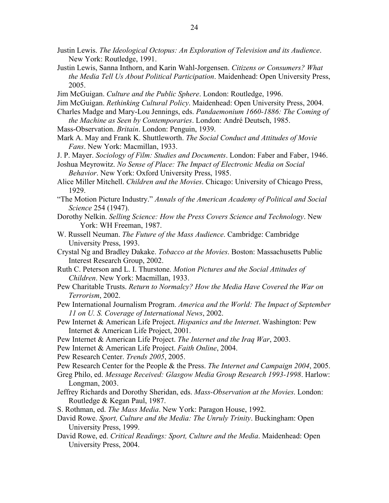- Justin Lewis. *The Ideological Octopus: An Exploration of Television and its Audience*. New York: Routledge, 1991.
- Justin Lewis, Sanna Inthorn, and Karin Wahl-Jorgensen. *Citizens or Consumers? What the Media Tell Us About Political Participation*. Maidenhead: Open University Press, 2005.
- Jim McGuigan. *Culture and the Public Sphere*. London: Routledge, 1996.
- Jim McGuigan. *Rethinking Cultural Policy*. Maidenhead: Open University Press, 2004.
- Charles Madge and Mary-Lou Jennings, eds. *Pandaemonium 1660-1886: The Coming of the Machine as Seen by Contemporaries*. London: André Deutsch, 1985.
- Mass-Observation. *Britain*. London: Penguin, 1939.
- Mark A. May and Frank K. Shuttleworth. *The Social Conduct and Attitudes of Movie Fans*. New York: Macmillan, 1933.
- J. P. Mayer. *Sociology of Film: Studies and Documents*. London: Faber and Faber, 1946.
- Joshua Meyrowitz. *No Sense of Place: The Impact of Electronic Media on Social Behavior*. New York: Oxford University Press, 1985.
- Alice Miller Mitchell. *Children and the Movies*. Chicago: University of Chicago Press, 1929.
- "The Motion Picture Industry." *Annals of the American Academy of Political and Social Science* 254 (1947).
- Dorothy Nelkin. *Selling Science: How the Press Covers Science and Technology*. New York: WH Freeman, 1987.
- W. Russell Neuman. *The Future of the Mass Audience*. Cambridge: Cambridge University Press, 1993.
- Crystal Ng and Bradley Dakake. *Tobacco at the Movies*. Boston: Massachusetts Public Interest Research Group, 2002.
- Ruth C. Peterson and L. I. Thurstone. *Motion Pictures and the Social Attitudes of Children*. New York: Macmillan, 1933.
- Pew Charitable Trusts. *Return to Normalcy? How the Media Have Covered the War on Terrorism*, 2002.
- Pew International Journalism Program. *America and the World: The Impact of September 11 on U. S. Coverage of International News*, 2002.
- Pew Internet & American Life Project. *Hispanics and the Internet*. Washington: Pew Internet & American Life Project, 2001.
- Pew Internet & American Life Project. *The Internet and the Iraq War*, 2003.
- Pew Internet & American Life Project. *Faith Online*, 2004.
- Pew Research Center. *Trends 2005*, 2005.
- Pew Research Center for the People & the Press. *The Internet and Campaign 2004*, 2005.
- Greg Philo, ed. *Message Received: Glasgow Media Group Research 1993-1998*. Harlow: Longman, 2003.
- Jeffrey Richards and Dorothy Sheridan, eds. *Mass-Observation at the Movies*. London: Routledge & Kegan Paul, 1987.
- S. Rothman, ed. *The Mass Media*. New York: Paragon House, 1992.
- David Rowe. *Sport, Culture and the Media: The Unruly Trinity*. Buckingham: Open University Press, 1999.
- David Rowe, ed. *Critical Readings: Sport, Culture and the Media*. Maidenhead: Open University Press, 2004.